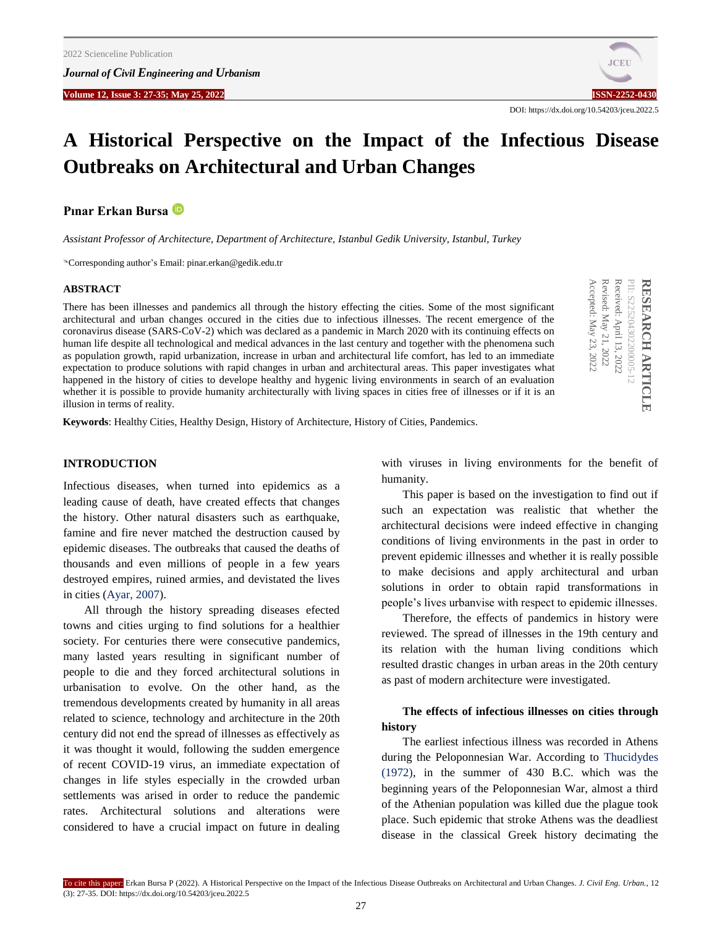*Journal of Civil Engineering and Urbanism*

**Volume 12, Issue 3: 27-35; May 25, 2022 ISSN-2252-0430**



DOI: https://dx.doi.org/10.54203/jceu.2022.5

# **A Historical Perspective on the Impact of the Infectious Disease Outbreaks on Architectural and Urban Changes**

**Pınar Erkan Bursa**

*Assistant Professor of Architecture, Department of Architecture, Istanbul Gedik University, Istanbul, Turkey*

Corresponding author's Email: pinar.erkan@gedik.edu.tr

### **ABSTRACT**

There has been illnesses and pandemics all through the history effecting the cities. Some of the most significant architectural and urban changes occured in the cities due to infectious illnesses. The recent emergence of the coronavirus disease (SARS-CoV-2) which was declared as a pandemic in March 2020 with its continuing effects on human life despite all technological and medical advances in the last century and together with the phenomena such as population growth, rapid urbanization, increase in urban and architectural life comfort, has led to an immediate expectation to produce solutions with rapid changes in urban and architectural areas. This paper investigates what happened in the history of cities to develope healthy and hygenic living environments in search of an evaluation whether it is possible to provide humanity architecturally with living spaces in cities free of illnesses or if it is an illusion in terms of reality.

Revised: May 21, 2022 Received: April 13, 2022 PII: S225204302200005-12 Accepted: May 23, 2022 Accepted: May Revised: May Received: April PII: S225204302200005-12 RESEARCH ARTICLE **RESEARCH ARTICLE**

**Keywords**: Healthy Cities, Healthy Design, History of Architecture, History of Cities, Pandemics.

## **INTRODUCTION**

Infectious diseases, when turned into epidemics as a leading cause of death, have created effects that changes the history. Other natural disasters such as earthquake, famine and fire never matched the destruction caused by epidemic diseases. The outbreaks that caused the deaths of thousands and even millions of people in a few years destroyed empires, ruined armies, and devistated the lives in cities [\(Ayar, 2007\).](#page-8-0)

All through the history spreading diseases efected towns and cities urging to find solutions for a healthier society. For centuries there were consecutive pandemics, many lasted years resulting in significant number of people to die and they forced architectural solutions in urbanisation to evolve. On the other hand, as the tremendous developments created by humanity in all areas related to science, technology and architecture in the 20th century did not end the spread of illnesses as effectively as it was thought it would, following the sudden emergence of recent COVID-19 virus, an immediate expectation of changes in life styles especially in the crowded urban settlements was arised in order to reduce the pandemic rates. Architectural solutions and alterations were considered to have a crucial impact on future in dealing with viruses in living environments for the benefit of humanity.

This paper is based on the investigation to find out if such an expectation was realistic that whether the architectural decisions were indeed effective in changing conditions of living environments in the past in order to prevent epidemic illnesses and whether it is really possible to make decisions and apply architectural and urban solutions in order to obtain rapid transformations in people's lives urbanvise with respect to epidemic illnesses.

Therefore, the effects of pandemics in history were reviewed. The spread of illnesses in the 19th century and its relation with the human living conditions which resulted drastic changes in urban areas in the 20th century as past of modern architecture were investigated.

# **The effects of infectious illnesses on cities through history**

The earliest infectious illness was recorded in Athens during the Peloponnesian War. According t[o Thucidydes](#page-8-0)  [\(1972\),](#page-8-0) in the summer of 430 B.C. which was the beginning years of the Peloponnesian War, almost a third of the Athenian population was killed due the plague took place. Such epidemic that stroke Athens was the deadliest disease in the classical Greek history decimating the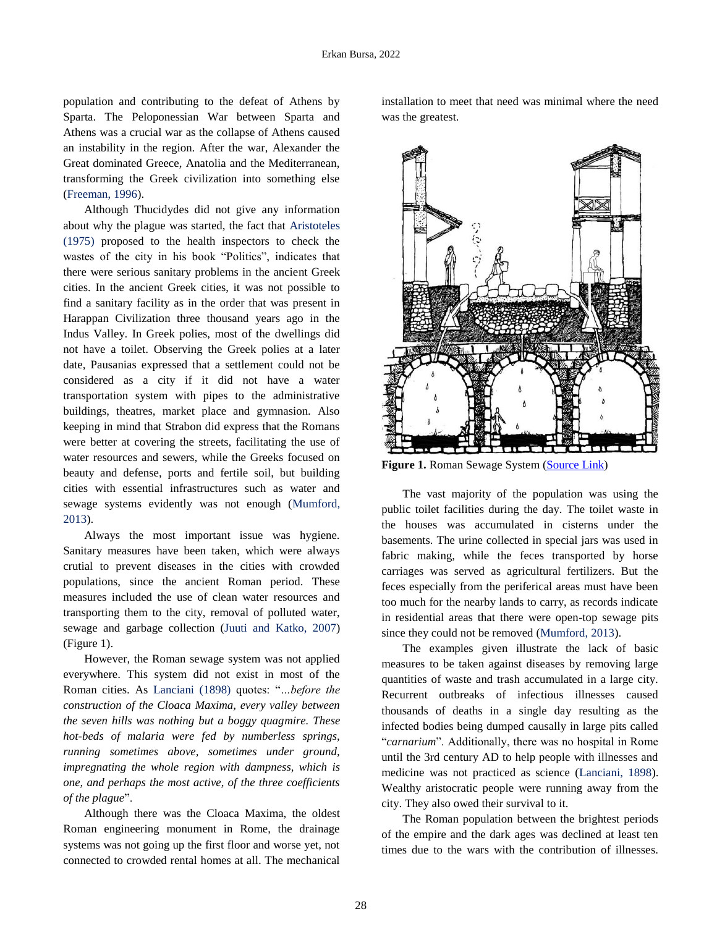population and contributing to the defeat of Athens by Sparta. The Peloponessian War between Sparta and Athens was a crucial war as the collapse of Athens caused an instability in the region. After the war, Alexander the Great dominated Greece, Anatolia and the Mediterranean, transforming the Greek civilization into something else [\(Freeman, 1996\).](#page-8-0) 

Although Thucidydes did not give any information about why the plague was started, the fact that [Aristoteles](#page-8-0)  [\(1975\)](#page-8-0) proposed to the health inspectors to check the wastes of the city in his book "Politics", indicates that there were serious sanitary problems in the ancient Greek cities. In the ancient Greek cities, it was not possible to find a sanitary facility as in the order that was present in Harappan Civilization three thousand years ago in the Indus Valley. In Greek polies, most of the dwellings did not have a toilet. Observing the Greek polies at a later date, Pausanias expressed that a settlement could not be considered as a city if it did not have a water transportation system with pipes to the administrative buildings, theatres, market place and gymnasion. Also keeping in mind that Strabon did express that the Romans were better at covering the streets, facilitating the use of water resources and sewers, while the Greeks focused on beauty and defense, ports and fertile soil, but building cities with essential infrastructures such as water and sewage systems evidently was not enough [\(Mumford,](#page-8-0)  [2013\).](#page-8-0)

Always the most important issue was hygiene. Sanitary measures have been taken, which were always crutial to prevent diseases in the cities with crowded populations, since the ancient Roman period. These measures included the use of clean water resources and transporting them to the city, removal of polluted water, sewage and garbage collection (Juuti and [Katko, 2007\)](#page-8-0)  (Figure 1).

However, the Roman sewage system was not applied everywhere. This system did not exist in most of the Roman cities. As [Lanciani \(1898\)](#page-8-0) quotes: "*…before the construction of the Cloaca Maxima, every valley between the seven hills was nothing but a boggy quagmire. These hot-beds of malaria were fed by numberless springs, running sometimes above, sometimes under ground, impregnating the whole region with dampness, which is one, and perhaps the most active, of the three coefficients of the plague*".

Although there was the Cloaca Maxima, the oldest Roman engineering monument in Rome, the drainage systems was not going up the first floor and worse yet, not connected to crowded rental homes at all. The mechanical installation to meet that need was minimal where the need was the greatest.



Figure 1. Roman Sewage System [\(Source Link\)](https://www.indiawaterportal.org/articles/black-tsunami-article-green-systems-about-putrefying-sewage-discharged-our-homes-offices)

The vast majority of the population was using the public toilet facilities during the day. The toilet waste in the houses was accumulated in cisterns under the basements. The urine collected in special jars was used in fabric making, while the feces transported by horse carriages was served as agricultural fertilizers. But the feces especially from the periferical areas must have been too much for the nearby lands to carry, as records indicate in residential areas that there were open-top sewage pits since they could not be removed [\(Mumford, 2013\)](#page-8-0).

The examples given illustrate the lack of basic measures to be taken against diseases by removing large quantities of waste and trash accumulated in a large city. Recurrent outbreaks of infectious illnesses caused thousands of deaths in a single day resulting as the infected bodies being dumped causally in large pits called "*carnarium*". Additionally, there was no hospital in Rome until the 3rd century AD to help people with illnesses and medicine was not practiced as science [\(Lanciani, 1898\)](#page-8-0). Wealthy aristocratic people were running away from the city. They also owed their survival to it.

The Roman population between the brightest periods of the empire and the dark ages was declined at least ten times due to the wars with the contribution of illnesses.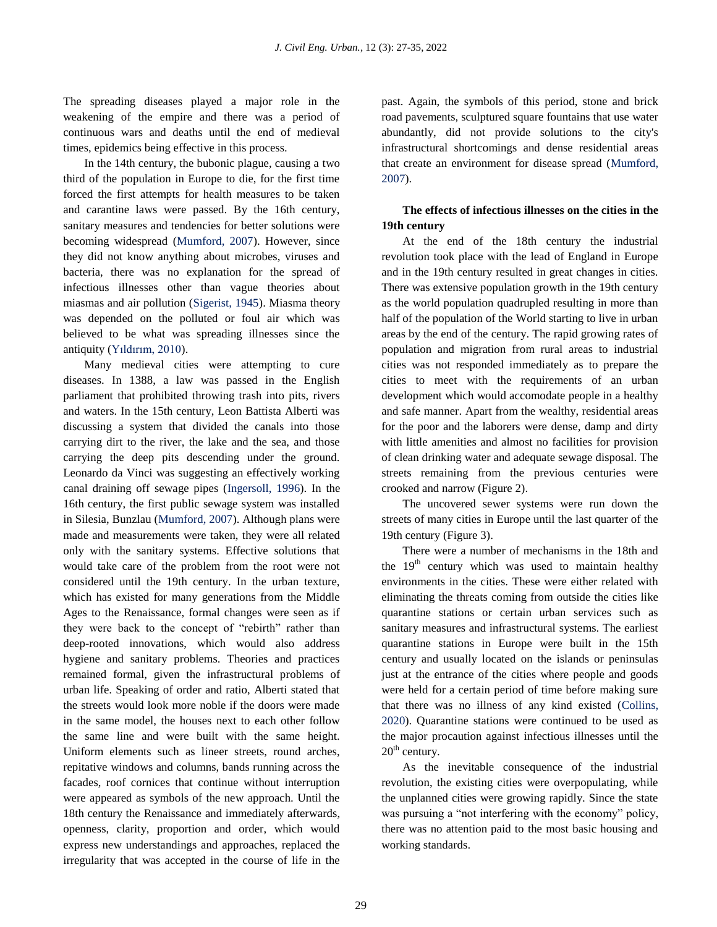The spreading diseases played a major role in the weakening of the empire and there was a period of continuous wars and deaths until the end of medieval times, epidemics being effective in this process.

In the 14th century, the bubonic plague, causing a two third of the population in Europe to die, for the first time forced the first attempts for health measures to be taken and carantine laws were passed. By the 16th century, sanitary measures and tendencies for better solutions were becoming widespread ([Mumford, 2007\).](#page-8-0) However, since they did not know anything about microbes, viruses and bacteria, there was no explanation for the spread of infectious illnesses other than vague theories about miasmas and air pollution [\(Sigerist, 1945\).](#page-8-0) Miasma theory was depended on the polluted or foul air which was believed to be what was spreading illnesses since the antiquity [\(Yıldırım, 2010\)](#page-8-0).

Many medieval cities were attempting to cure diseases. In 1388, a law was passed in the English parliament that prohibited throwing trash into pits, rivers and waters. In the 15th century, Leon Battista Alberti was discussing a system that divided the canals into those carrying dirt to the river, the lake and the sea, and those carrying the deep pits descending under the ground. Leonardo da Vinci was suggesting an effectively working canal draining off sewage pipes [\(Ingersoll, 1996\).](#page-8-0) In the 16th century, the first public sewage system was installed in Silesia, Bunzlau [\(Mumford, 2007\)](#page-8-0). Although plans were made and measurements were taken, they were all related only with the sanitary systems. Effective solutions that would take care of the problem from the root were not considered until the 19th century. In the urban texture, which has existed for many generations from the Middle Ages to the Renaissance, formal changes were seen as if they were back to the concept of "rebirth" rather than deep-rooted innovations, which would also address hygiene and sanitary problems. Theories and practices remained formal, given the infrastructural problems of urban life. Speaking of order and ratio, Alberti stated that the streets would look more noble if the doors were made in the same model, the houses next to each other follow the same line and were built with the same height. Uniform elements such as lineer streets, round arches, repitative windows and columns, bands running across the facades, roof cornices that continue without interruption were appeared as symbols of the new approach. Until the 18th century the Renaissance and immediately afterwards, openness, clarity, proportion and order, which would express new understandings and approaches, replaced the irregularity that was accepted in the course of life in the

past. Again, the symbols of this period, stone and brick road pavements, sculptured square fountains that use water abundantly, did not provide solutions to the city's infrastructural shortcomings and dense residential areas that create an environment for disease sprea[d \(Mumford,](#page-8-0)  2007).

# **The effects of infectious illnesses on the cities in the 19th century**

At the end of the 18th century the industrial revolution took place with the lead of England in Europe and in the 19th century resulted in great changes in cities. There was extensive population growth in the 19th century as the world population quadrupled resulting in more than half of the population of the World starting to live in urban areas by the end of the century. The rapid growing rates of population and migration from rural areas to industrial cities was not responded immediately as to prepare the cities to meet with the requirements of an urban development which would accomodate people in a healthy and safe manner. Apart from the wealthy, residential areas for the poor and the laborers were dense, damp and dirty with little amenities and almost no facilities for provision of clean drinking water and adequate sewage disposal. The streets remaining from the previous centuries were crooked and narrow (Figure 2).

The uncovered sewer systems were run down the streets of many cities in Europe until the last quarter of the 19th century (Figure 3).

There were a number of mechanisms in the 18th and the  $19<sup>th</sup>$  century which was used to maintain healthy environments in the cities. These were either related with eliminating the threats coming from outside the cities like quarantine stations or certain urban services such as sanitary measures and infrastructural systems. The earliest quarantine stations in Europe were built in the 15th century and usually located on the islands or peninsulas just at the entrance of the cities where people and goods were held for a certain period of time before making sure that there was no illness of any kind existed [\(Collins,](#page-8-0)  [2020\).](#page-8-0) Quarantine stations were continued to be used as the major procaution against infectious illnesses until the  $20<sup>th</sup>$  century.

As the inevitable consequence of the industrial revolution, the existing cities were overpopulating, while the unplanned cities were growing rapidly. Since the state was pursuing a "not interfering with the economy" policy, there was no attention paid to the most basic housing and working standards.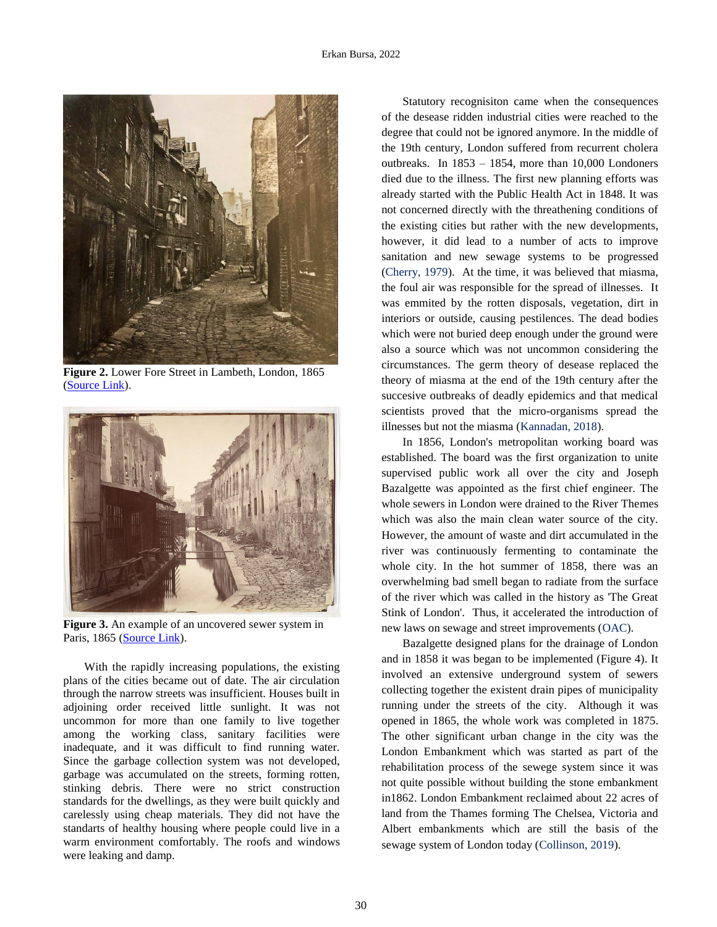

**Figure 2.** Lower Fore Street in Lambeth, London, 1865 [\(Source Link\)](https://i.pinimg.com/564x/79/0a/fa/790afa1e25c041171b40a2c82d118588.jpg).



**Figure 3.** An example of an uncovered sewer system in Paris, 1865 [\(Source Link\)](https://commons.wikimedia.org/wiki/File:Charles_Marville,_La_Bi%C3%A8vre,_ca._1865.jpg).

With the rapidly increasing populations, the existing plans of the cities became out of date. The air circulation through the narrow streets was insufficient. Houses built in adjoining order received little sunlight. It was not uncommon for more than one family to live together among the working class, sanitary facilities were inadequate, and it was difficult to find running water. Since the garbage collection system was not developed, garbage was accumulated on the streets, forming rotten, stinking debris. There were no strict construction standards for the dwellings, as they were built quickly and carelessly using cheap materials. They did not have the standarts of healthy housing where people could live in a warm environment comfortably. The roofs and windows were leaking and damp.

Statutory recognisiton came when the consequences of the desease ridden industrial cities were reached to the degree that could not be ignored anymore. In the middle of the 19th century, London suffered from recurrent cholera outbreaks. In 1853 – 1854, more than 10,000 Londoners died due to the illness. The first new planning efforts was already started with the Public Health Act in 1848. It was not concerned directly with the threathening conditions of the existing cities but rather with the new developments, however, it did lead to a number of acts to improve sanitation and new sewage systems to be progressed [\(Cherry, 1979\).](#page-8-0) At the time, it was believed that miasma, the foul air was responsible for the spread of illnesses. It was emmited by the rotten disposals, vegetation, dirt in interiors or outside, causing pestilences. The dead bodies which were not buried deep enough under the ground were also a source which was not uncommon considering the circumstances. The germ theory of desease replaced the theory of miasma at the end of the 19th century after the succesive outbreaks of deadly epidemics and that medical scientists proved that the micro-organisms spread the illnesses but not the miasma [\(Kannadan, 2018\).](#page-8-0)

In 1856, London's metropolitan working board was established. The board was the first organization to unite supervised public work all over the city and Joseph Bazalgette was appointed as the first chief engineer. The whole sewers in London were drained to the River Themes which was also the main clean water source of the city. However, the amount of waste and dirt accumulated in the river was continuously fermenting to contaminate the whole city. In the hot summer of 1858, there was an overwhelming bad smell began to radiate from the surface of the river which was called in the history as 'The Great Stink of London'. Thus, it accelerated the introduction of new laws on sewage and street improvements [\(OAC\).](#page-8-0) 

Bazalgette designed plans for the drainage of London and in 1858 it was began to be implemented (Figure 4). It involved an extensive underground system of sewers collecting together the existent drain pipes of municipality running under the streets of the city. Although it was opened in 1865, the whole work was completed in 1875. The other significant urban change in the city was the London Embankment which was started as part of the rehabilitation process of the sewege system since it was not quite possible without building the stone embankment in1862. London Embankment reclaimed about 22 acres of land from the Thames forming The Chelsea, Victoria and Albert embankments which are still the basis of the sewage system of London today [\(Collinson, 2019\).](#page-8-0)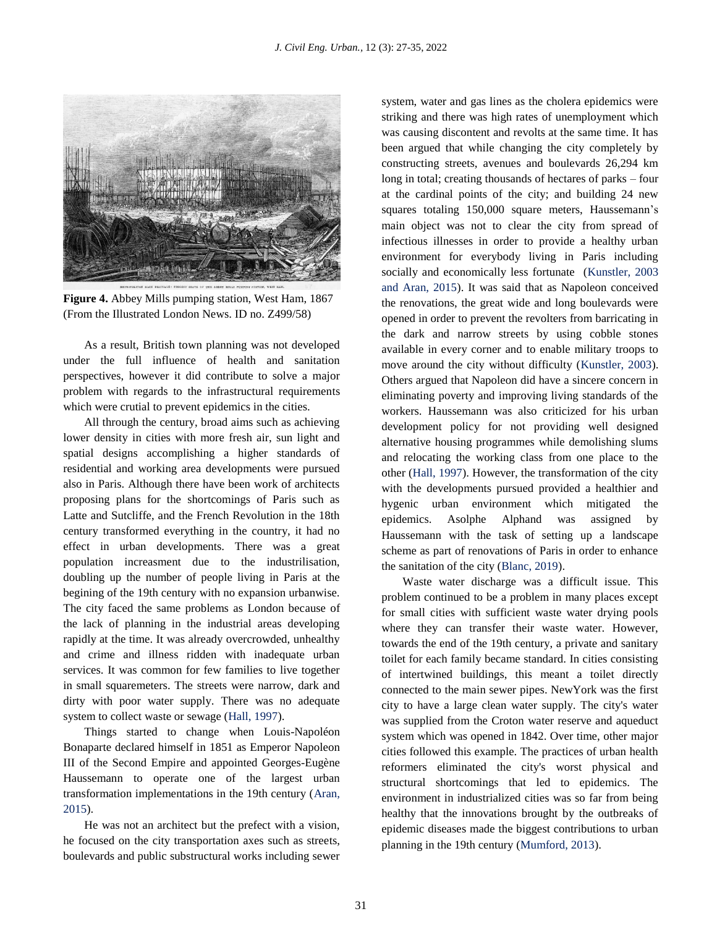

**Figure 4.** Abbey Mills pumping station, West Ham, 1867 (From the Illustrated London News. ID no. Z499/58)

As a result, British town planning was not developed under the full influence of health and sanitation perspectives, however it did contribute to solve a major problem with regards to the infrastructural requirements which were crutial to prevent epidemics in the cities.

All through the century, broad aims such as achieving lower density in cities with more fresh air, sun light and spatial designs accomplishing a higher standards of residential and working area developments were pursued also in Paris. Although there have been work of architects proposing plans for the shortcomings of Paris such as Latte and Sutcliffe, and the French Revolution in the 18th century transformed everything in the country, it had no effect in urban developments. There was a great population increasment due to the industrilisation, doubling up the number of people living in Paris at the begining of the 19th century with no expansion urbanwise. The city faced the same problems as London because of the lack of planning in the industrial areas developing rapidly at the time. It was already overcrowded, unhealthy and crime and illness ridden with inadequate urban services. It was common for few families to live together in small squaremeters. The streets were narrow, dark and dirty with poor water supply. There was no adequate system to collect waste or sewage [\(Hall, 1997\).](#page-8-0) 

Things started to change when Louis-Napoléon Bonaparte declared himself in 1851 as Emperor Napoleon III of the Second Empire and appointed Georges-Eugène Haussemann to operate one of the largest urban transformation implementations in the 19th century [\(Aran,](#page-8-0) [2015\).](#page-8-0) 

He was not an architect but the prefect with a vision, he focused on the city transportation axes such as streets, boulevards and public substructural works including sewer system, water and gas lines as the cholera epidemics were striking and there was high rates of unemployment which was causing discontent and revolts at the same time. It has been argued that while changing the city completely by constructing streets, avenues and boulevards 26,294 km long in total; creating thousands of hectares of parks – four at the cardinal points of the city; and building 24 new squares totaling 150,000 square meters, Haussemann's main object was not to clear the city from spread of infectious illnesses in order to provide a healthy urban environment for everybody living in Paris including socially and economically less fortunate [\(Kunstler, 2003](#page-8-0)  [and Aran, 2015\).](#page-8-0) It was said that as Napoleon conceived the renovations, the great wide and long boulevards were opened in order to prevent the revolters from barricating in the dark and narrow streets by using cobble stones available in every corner and to enable military troops to move around the city without difficulty [\(Kunstler, 2003\).](#page-8-0)  Others argued that Napoleon did have a sincere concern in eliminating poverty and improving living standards of the workers. Haussemann was also criticized for his urban development policy for not providing well designed alternative housing programmes while demolishing slums and relocating the working class from one place to the othe[r \(Hall, 1997\). H](#page-8-0)owever, the transformation of the city with the developments pursued provided a healthier and hygenic urban environment which mitigated the epidemics. Asolphe Alphand was assigned by Haussemann with the task of setting up a landscape scheme as part of renovations of Paris in order to enhance the sanitation of the city [\(Blanc, 2019\).](#page-8-0)

Waste water discharge was a difficult issue. This problem continued to be a problem in many places except for small cities with sufficient waste water drying pools where they can transfer their waste water. However, towards the end of the 19th century, a private and sanitary toilet for each family became standard. In cities consisting of intertwined buildings, this meant a toilet directly connected to the main sewer pipes. NewYork was the first city to have a large clean water supply. The city's water was supplied from the Croton water reserve and aqueduct system which was opened in 1842. Over time, other major cities followed this example. The practices of urban health reformers eliminated the city's worst physical and structural shortcomings that led to epidemics. The environment in industrialized cities was so far from being healthy that the innovations brought by the outbreaks of epidemic diseases made the biggest contributions to urban planning in the 19th century [\(Mumford, 2013\).](#page-8-0)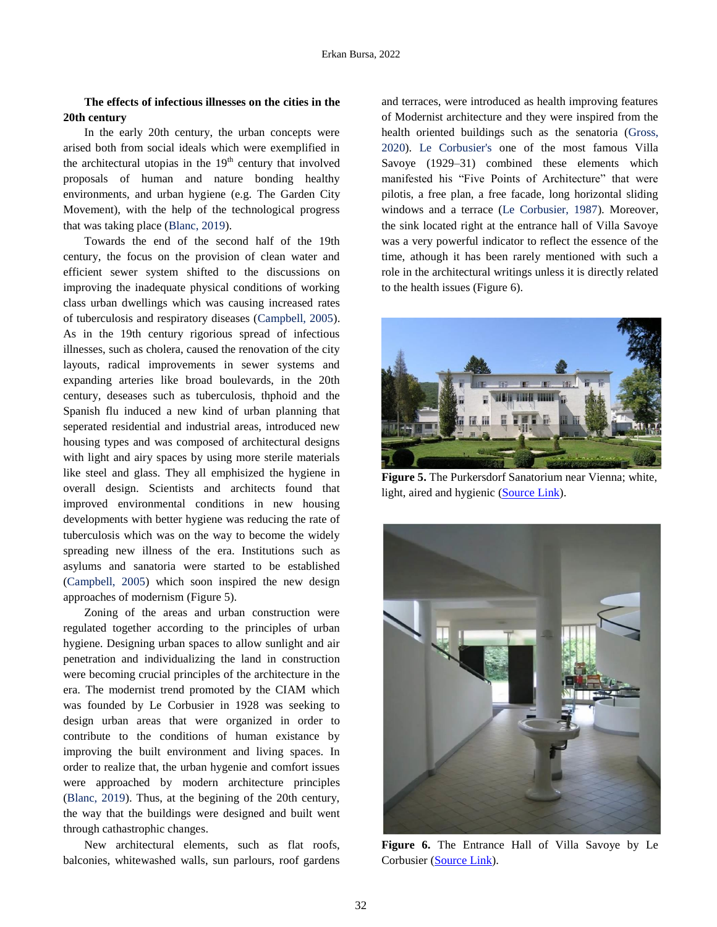# **The effects of infectious illnesses on the cities in the 20th century**

In the early 20th century, the urban concepts were arised both from social ideals which were exemplified in the architectural utopias in the  $19<sup>th</sup>$  century that involved proposals of human and nature bonding healthy environments, and urban hygiene (e.g. The Garden City Movement), with the help of the technological progress that was taking plac[e \(Blanc, 2019\).](#page-8-0)

Towards the end of the second half of the 19th century, the focus on the provision of clean water and efficient sewer system shifted to the discussions on improving the inadequate physical conditions of working class urban dwellings which was causing increased rates of tuberculosis and respiratory diseases [\(Campbell, 2005\).](#page-8-0)  As in the 19th century rigorious spread of infectious illnesses, such as cholera, caused the renovation of the city layouts, radical improvements in sewer systems and expanding arteries like broad boulevards, in the 20th century, deseases such as tuberculosis, thphoid and the Spanish flu induced a new kind of urban planning that seperated residential and industrial areas, introduced new housing types and was composed of architectural designs with light and airy spaces by using more sterile materials like steel and glass. They all emphisized the hygiene in overall design. Scientists and architects found that improved environmental conditions in new housing developments with better hygiene was reducing the rate of tuberculosis which was on the way to become the widely spreading new illness of the era. Institutions such as asylums and sanatoria were started to be established [\(Campbell, 2005\)](#page-8-0) which soon inspired the new design approaches of modernism (Figure 5).

Zoning of the areas and urban construction were regulated together according to the principles of urban hygiene. Designing urban spaces to allow sunlight and air penetration and individualizing the land in construction were becoming crucial principles of the architecture in the era. The modernist trend promoted by the CIAM which was founded by Le Corbusier in 1928 was seeking to design urban areas that were organized in order to contribute to the conditions of human existance by improving the built environment and living spaces. In order to realize that, the urban hygenie and comfort issues were approached by modern architecture principles [\(Blanc, 2019\).](#page-8-0) Thus, at the begining of the 20th century, the way that the buildings were designed and built went through cathastrophic changes.

New architectural elements, such as flat roofs, balconies, whitewashed walls, sun parlours, roof gardens

and terraces, were introduced as health improving features of Modernist architecture and they were inspired from the health oriented buildings such as the senatoria [\(Gross](#page-8-0), 2020). [Le Corbusier's](#page-8-0) one of the most famous Villa Savoye (1929–31) combined these elements which manifested his "Five Points of Architecture" that were pilotis, a free plan, a free facade, long horizontal sliding windows and a terrac[e \(Le Corbusier, 1987\).](#page-8-0) Moreover, the sink located right at the entrance hall of Villa Savoye was a very powerful indicator to reflect the essence of the time, athough it has been rarely mentioned with such a role in the architectural writings unless it is directly related to the health issues (Figure 6).



**Figure 5.** The Purkersdorf Sanatorium near Vienna; white, light, aired and hygienic [\(Source Link\)](https://mdc.arq.br/2012/03/20/antonio-garcia-moya-um-arquiteto-da-semana-de-22/04-05-hoffmann-sanatorio/).



**Figure 6.** The Entrance Hall of Villa Savoye by Le Corbusier [\(Source](https://architypes.net/villa-savoye/) Link).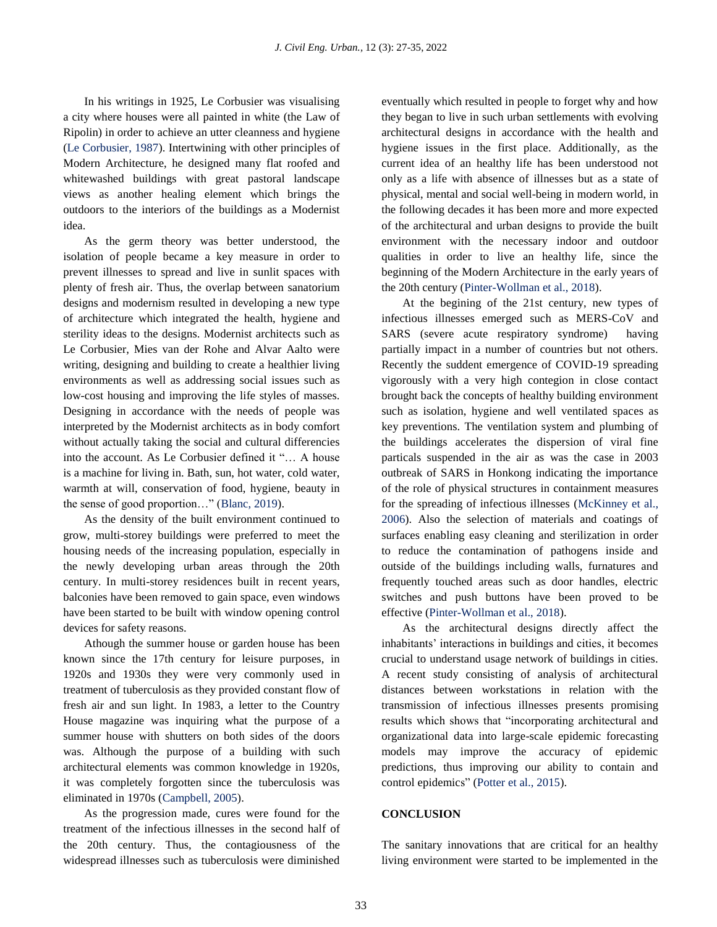In his writings in 1925, Le Corbusier was visualising a city where houses were all painted in white (the Law of Ripolin) in order to achieve an utter cleanness and hygiene [\(Le Corbusier, 1987\).](#page-8-0) Intertwining with other principles of Modern Architecture, he designed many flat roofed and whitewashed buildings with great pastoral landscape views as another healing element which brings the outdoors to the interiors of the buildings as a Modernist idea.

As the germ theory was better understood, the isolation of people became a key measure in order to prevent illnesses to spread and live in sunlit spaces with plenty of fresh air. Thus, the overlap between sanatorium designs and modernism resulted in developing a new type of architecture which integrated the health, hygiene and sterility ideas to the designs. Modernist architects such as Le Corbusier, Mies van der Rohe and Alvar Aalto were writing, designing and building to create a healthier living environments as well as addressing social issues such as low-cost housing and improving the life styles of masses. Designing in accordance with the needs of people was interpreted by the Modernist architects as in body comfort without actually taking the social and cultural differencies into the account. As Le Corbusier defined it "… A house is a machine for living in. Bath, sun, hot water, cold water, warmth at will, conservation of food, hygiene, beauty in the sense of good proportion…" [\(Blanc, 2019\).](#page-8-0) 

As the density of the built environment continued to grow, multi-storey buildings were preferred to meet the housing needs of the increasing population, especially in the newly developing urban areas through the 20th century. In multi-storey residences built in recent years, balconies have been removed to gain space, even windows have been started to be built with window opening control devices for safety reasons.

Athough the summer house or garden house has been known since the 17th century for leisure purposes, in 1920s and 1930s they were very commonly used in treatment of tuberculosis as they provided constant flow of fresh air and sun light. In 1983, a letter to the Country House magazine was inquiring what the purpose of a summer house with shutters on both sides of the doors was. Although the purpose of a building with such architectural elements was common knowledge in 1920s, it was completely forgotten since the tuberculosis was eliminated in 1970[s \(Campbell, 2005\).](#page-8-0)

As the progression made, cures were found for the treatment of the infectious illnesses in the second half of the 20th century. Thus, the contagiousness of the widespread illnesses such as tuberculosis were diminished eventually which resulted in people to forget why and how they began to live in such urban settlements with evolving architectural designs in accordance with the health and hygiene issues in the first place. Additionally, as the current idea of an healthy life has been understood not only as a life with absence of illnesses but as a state of physical, mental and social well-being in modern world, in the following decades it has been more and more expected of the architectural and urban designs to provide the built environment with the necessary indoor and outdoor qualities in order to live an healthy life, since the beginning of the Modern Architecture in the early years of the 20th century [\(Pinter-Wollman](#page-8-0) et al., 2018).

At the begining of the 21st century, new types of infectious illnesses emerged such as MERS-CoV and SARS (severe acute respiratory syndrome) having partially impact in a number of countries but not others. Recently the suddent emergence of COVID-19 spreading vigorously with a very high contegion in close contact brought back the concepts of healthy building environment such as isolation, hygiene and well ventilated spaces as key preventions. The ventilation system and plumbing of the buildings accelerates the dispersion of viral fine particals suspended in the air as was the case in 2003 outbreak of SARS in Honkong indicating the importance of the role of physical structures in containment measures for the spreading of infectious illnesses [\(McKinney](#page-8-0) et al., [2006\).](#page-8-0) Also the selection of materials and coatings of surfaces enabling easy cleaning and sterilization in order to reduce the contamination of pathogens inside and outside of the buildings including walls, furnatures and frequently touched areas such as door handles, electric switches and push buttons have been proved to be effective [\(Pinter-Wollman](#page-8-0) et al., 2018).

As the architectural designs directly affect the inhabitants' interactions in buildings and cities, it becomes crucial to understand usage network of buildings in cities. A recent study consisting of analysis of architectural distances between workstations in relation with the transmission of infectious illnesses presents promising results which shows that "incorporating architectural and organizational data into large-scale epidemic forecasting models may improve the accuracy of epidemic predictions, thus improving our ability to contain and control epidemics" [\(Potter et al., 2015\).](#page-8-0) 

#### **CONCLUSION**

The sanitary innovations that are critical for an healthy living environment were started to be implemented in the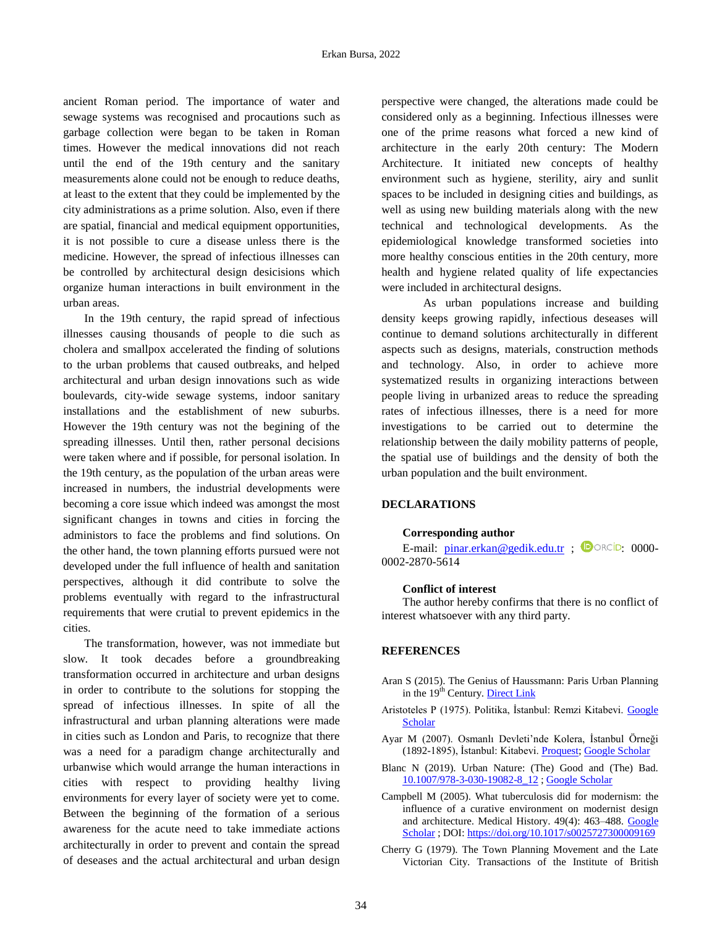ancient Roman period. The importance of water and sewage systems was recognised and procautions such as garbage collection were began to be taken in Roman times. However the medical innovations did not reach until the end of the 19th century and the sanitary measurements alone could not be enough to reduce deaths, at least to the extent that they could be implemented by the city administrations as a prime solution. Also, even if there are spatial, financial and medical equipment opportunities, it is not possible to cure a disease unless there is the medicine. However, the spread of infectious illnesses can be controlled by architectural design desicisions which organize human interactions in built environment in the urban areas.

In the 19th century, the rapid spread of infectious illnesses causing thousands of people to die such as cholera and smallpox accelerated the finding of solutions to the urban problems that caused outbreaks, and helped architectural and urban design innovations such as wide boulevards, city-wide sewage systems, indoor sanitary installations and the establishment of new suburbs. However the 19th century was not the begining of the spreading illnesses. Until then, rather personal decisions were taken where and if possible, for personal isolation. In the 19th century, as the population of the urban areas were increased in numbers, the industrial developments were becoming a core issue which indeed was amongst the most significant changes in towns and cities in forcing the administors to face the problems and find solutions. On the other hand, the town planning efforts pursued were not developed under the full influence of health and sanitation perspectives, although it did contribute to solve the problems eventually with regard to the infrastructural requirements that were crutial to prevent epidemics in the cities.

The transformation, however, was not immediate but slow. It took decades before a groundbreaking transformation occurred in architecture and urban designs in order to contribute to the solutions for stopping the spread of infectious illnesses. In spite of all the infrastructural and urban planning alterations were made in cities such as London and Paris, to recognize that there was a need for a paradigm change architecturally and urbanwise which would arrange the human interactions in cities with respect to providing healthy living environments for every layer of society were yet to come. Between the beginning of the formation of a serious awareness for the acute need to take immediate actions architecturally in order to prevent and contain the spread of deseases and the actual architectural and urban design perspective were changed, the alterations made could be considered only as a beginning. Infectious illnesses were one of the prime reasons what forced a new kind of architecture in the early 20th century: The Modern Architecture. It initiated new concepts of healthy environment such as hygiene, sterility, airy and sunlit spaces to be included in designing cities and buildings, as well as using new building materials along with the new technical and technological developments. As the epidemiological knowledge transformed societies into more healthy conscious entities in the 20th century, more health and hygiene related quality of life expectancies were included in architectural designs.

 As urban populations increase and building density keeps growing rapidly, infectious deseases will continue to demand solutions architecturally in different aspects such as designs, materials, construction methods and technology. Also, in order to achieve more systematized results in organizing interactions between people living in urbanized areas to reduce the spreading rates of infectious illnesses, there is a need for more investigations to be carried out to determine the relationship between the daily mobility patterns of people, the spatial use of buildings and the density of both the urban population and the built environment.

## **DECLARATIONS**

## **Corresponding author**

E-mail:  $pinar.erkan@gedik.edu.tr$ ;  $\bullet$  ORCiD: 0000-0002-2870-5614

#### **Conflict of interest**

The author hereby confirms that there is no conflict of interest whatsoever with any third party.

#### **REFERENCES**

- Aran S (2015). The Genius of Haussmann: Paris Urban Planning in the 19<sup>th</sup> Century. [Direct Link](https://bonjourparis.com/history/the-genius-of-%20%20haussmann-%20paris-urban-planning-in-the-19th-century/)
- Aristoteles P (1975). Politika, İstanbul: Remzi Kitabevi. [Google](https://scholar.google.com/scholar?hl=en&as_sdt=0%2C5&q=Aristoteles%2C+%281975%29.+Politika%2C+%C4%B0stanbul%3A+Remzi+Kitabevi.&btnG=)  **[Scholar](https://scholar.google.com/scholar?hl=en&as_sdt=0%2C5&q=Aristoteles%2C+%281975%29.+Politika%2C+%C4%B0stanbul%3A+Remzi+Kitabevi.&btnG=)**
- Ayar M (2007). Osmanlı Devleti'nde Kolera, İstanbul Örneği (1892-1895), İstanbul: Kitabevi[. Proquest;](https://search.proquest.com/openview/57ff061d156d3c8a60941a17d8851392/1?pq-origsite=gscholar&cbl=2026366&diss=y&casa_token=z5JaZe6HrW0AAAAA:JdEAVJSBKDIfp798igOcxQQ3TQve83BjsW6JuLW6TyZRGzd2cDUAUAMxG_SumY8X1-wpBAGl4g) [Google Scholar](https://scholar.google.com/scholar?hl=en&as_sdt=0%2C5&q=Ayar%2C+M.+%282007%29.+Osmanl%C4%B1+Devleti%E2%80%99nde+Kolera%2C+%C4%B0stanbul+%C3%96rne%C4%9Fi+%281892-1895%29%2C+%C4%B0stanbul%3A+Kitabevi.+&btnG=)
- Blanc N (2019). Urban Nature: (The) Good and (The) Bad. [10.1007/978-3-030-19082-8\\_12](https://link.springer.com/chapter/10.1007/978-3-030-19082-8_12) [; Google Scholar](https://scholar.google.com/scholar?hl=en&as_sdt=0%2C5&q=Blanc%2C+N.+%282019%29.+Urban+Nature%3A+%28The%29+Good+and+%28The%29+++++++Bad.&btnG=)
- Campbell M (2005). What tuberculosis did for modernism: the influence of a curative environment on modernist design and architecture. Medical History. 49(4): 463–488. [Google](https://scholar.google.com/scholar?hl=en&as_sdt=0%2C5&q=Campbell+M.+%282005%29.+What+tuberculosis+did+for+modernism%3A+the+influence+of+a+curative+environment+on+modernist+design+and+architecture.+Medical+history%2C+49%284%29%2C+463%E2%80%93488.&btnG=)  [Scholar](https://scholar.google.com/scholar?hl=en&as_sdt=0%2C5&q=Campbell+M.+%282005%29.+What+tuberculosis+did+for+modernism%3A+the+influence+of+a+curative+environment+on+modernist+design+and+architecture.+Medical+history%2C+49%284%29%2C+463%E2%80%93488.&btnG=) ; DOI: https://doi.org/10.1017/s0025727300009169
- Cherry G (1979). The Town Planning Movement and the Late Victorian City. Transactions of the Institute of British